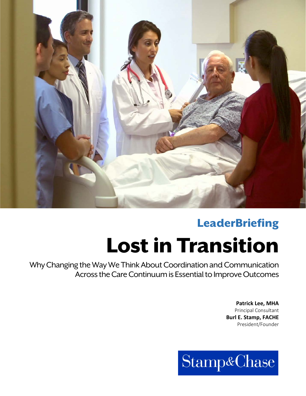

# **LeaderBriefing**

# Lost in Transition

Why Changing the Way We Think About Coordination and Communication Across the Care Continuum is Essential to Improve Outcomes

> **Patrick Lee, MHA** Principal Consultant **Burl E. Stamp, FACHE** President/Founder

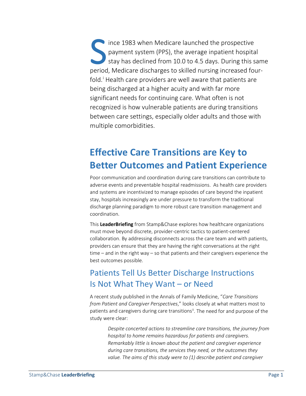ince 1983 when Medicare launched the prospective payment system (PPS), the average inpatient hospital stay has declined from 10.0 to 4.5 days. During this same period, Medicare discharges to skilled nursing increased fourfold.<sup>[i](#page-9-0)</sup> Health care providers are well aware that patients are being discharged at a higher acuity and with far more significant needs for continuing care. What often is not recognized is how vulnerable patients are during transitions between care settings, especially older adults and those with multiple comorbidities. S income parties

# **Effective Care Transitions are Key to Better Outcomes and Patient Experience**

Poor communication and coordination during care transitions can contribute to adverse events and preventable hospital readmissions. As health care providers and systems are incentivized to manage episodes of care beyond the inpatient stay, hospitals increasingly are under pressure to transform the traditional discharge planning paradigm to more robust care transition management and coordination.

This **LeaderBriefing** from Stamp&Chase explores how healthcare organizations must move beyond discrete, provider-centric tactics to patient-centered collaboration. By addressing disconnects across the care team and with patients, providers can ensure that they are having the right conversations at the right time – and in the right way – so that patients and their caregivers experience the best outcomes possible.

## Patients Tell Us Better Discharge Instructions Is Not What They Want – or Need

A recent study published in the Annals of Family Medicine, "*Care Transitions from Patient and Caregiver Perspectives*," looks closely at what matters most to patients and caregivers during care transitions<sup>ii</sup>. The need for and purpose of the study were clear:

*Despite concerted actions to streamline care transitions, the journey from hospital to home remains hazardous for patients and caregivers. Remarkably little is known about the patient and caregiver experience during care transitions, the services they need, or the outcomes they value. The aims of this study were to (1) describe patient and caregiver*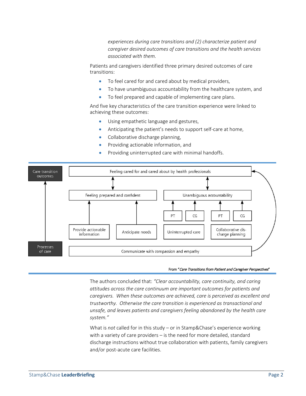*experiences during care transitions and (2) characterize patient and caregiver desired outcomes of care transitions and the health services associated with them.*

Patients and caregivers identified three primary desired outcomes of care transitions:

- To feel cared for and cared about by medical providers,
- To have unambiguous accountability from the healthcare system, and
- To feel prepared and capable of implementing care plans.

And five key characteristics of the care transition experience were linked to achieving these outcomes:

- Using empathetic language and gestures,
- Anticipating the patient's needs to support self-care at home,
- Collaborative discharge planning,
- Providing actionable information, and
- Providing uninterrupted care with minimal handoffs.



#### From "Care Transitions from Patient and Caregiver Perspectives"

The authors concluded that: *"Clear accountability, care continuity, and caring attitudes across the care continuum are important outcomes for patients and caregivers. When these outcomes are achieved, care is perceived as excellent and trustworthy. Otherwise the care transition is experienced as transactional and unsafe, and leaves patients and caregivers feeling abandoned by the health care system."*

What is *not* called for in this study – or in Stamp&Chase's experience working with a variety of care providers – is the need for more detailed, standard discharge instructions without true collaboration with patients, family caregivers and/or post-acute care facilities.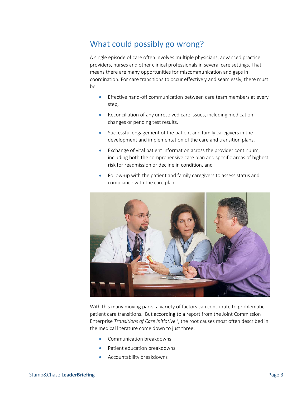## What could possibly go wrong?

A single episode of care often involves multiple physicians, advanced practice providers, nurses and other clinical professionals in several care settings. That means there are many opportunities for miscommunication and gaps in coordination. For care transitions to occur effectively and seamlessly, there must be:

- Effective hand-off communication between care team members at every step,
- Reconciliation of any unresolved care issues, including medication changes or pending test results,
- Successful engagement of the patient and family caregivers in the development and implementation of the care and transition plans,
- Exchange of vital patient information across the provider continuum, including both the comprehensive care plan and specific areas of highest risk for readmission or decline in condition, and
- Follow-up with the patient and family caregivers to assess status and compliance with the care plan.



With this many moving parts, a variety of factors can contribute to problematic patient care transitions. But according to a report from the Joint Commission Enterprise *Transitions of Care Initiative*<sup>[iii](#page-9-2)</sup>, the root causes most often described in the medical literature come down to just three:

- Communication breakdowns
- Patient education breakdowns
- Accountability breakdowns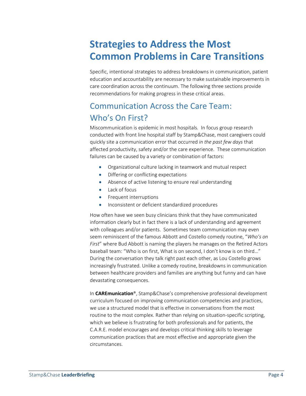# **Strategies to Address the Most Common Problems in Care Transitions**

Specific, intentional strategies to address breakdowns in communication, patient education and accountability are necessary to make sustainable improvements in care coordination across the continuum. The following three sections provide recommendations for making progress in these critical areas.

## Communication Across the Care Team: Who's On First?

Miscommunication is epidemic in most hospitals*.* In focus group research conducted with front line hospital staff by Stamp&Chase, most caregivers could quickly site a communication error that occurred *in the past few days* that affected productivity, safety and/or the care experience. These communication failures can be caused by a variety or combination of factors:

- Organizational culture lacking in teamwork and mutual respect
- Differing or conflicting expectations
- Absence of active listening to ensure real understanding
- Lack of focus
- Frequent interruptions
- Inconsistent or deficient standardized procedures

How often have we seen busy clinicians think that they have communicated information clearly but in fact there is a lack of understanding and agreement with colleagues and/or patients. Sometimes team communication may even seem reminiscent of the famous Abbott and Costello comedy routine, "*Who's on First*" where Bud Abbott is naming the players he manages on the Retired Actors baseball team: "Who is on first, What is on second, I don't know is on third…" During the conversation they talk right past each other, as Lou Costello grows increasingly frustrated. Unlike a comedy routine, breakdowns in communication between healthcare providers and families are anything but funny and can have devastating consequences.

In **CAREmunication**®, Stamp&Chase's comprehensive professional development curriculum focused on improving communication competencies and practices, we use a structured model that is effective in conversations from the most routine to the most complex. Rather than relying on situation-specific scripting, which we believe is frustrating for both professionals and for patients, the C.A.R.E. model encourages and develops critical thinking skills to leverage communication practices that are most effective and appropriate given the circumstances.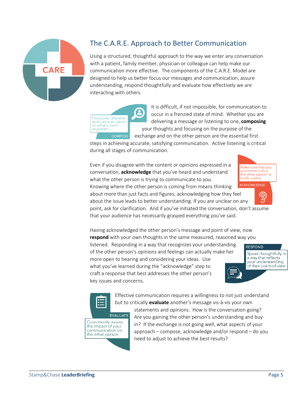

## The C.A.R.E. Approach to Better Communication

Using a structured, thoughtful approach to the way we enter any conversation with a patient, family member, physician or colleague can help make our communication more effective. The components of the C.A.R.E. Model are designed to help us better focus our messages and communication, assure understanding, respond thoughtfully and evaluate how effectively we are interacting with others.

Focus your attention and communications on what is most important COMPOSE

 It is difficult, if not impossible, for communication to occur in a frenzied state of mind. Whether you are delivering a message or listening to one, **composing** your thoughts and focusing on the purpose of the exchange and on the other person are the essential first

steps in achieving accurate, satisfying communication. Active listening is critical during all stages of communication.

Even if you disagree with the content or opinions expressed in a conversation, **acknowledge** that you've heard and understand what the other person is trying to communicate to you.



′ର

about more than just facts and figures; acknowledging how they feel about the issue leads to better understanding. If you are unclear on any

point, ask for clarification. And if you've initiated the conversation, don't assume that your audience has necessarily grasped everything you've said.

Having acknowledged the other person's message and point of view, now **respond** with your own thoughts in the same measured, reasoned way you

listened. Responding in a way that recognizes your understanding of the other person's opinions and feelings can actually make her more open to hearing and considering your ideas. Use what you've learned during the "acknowledge" step to craft a response that best addresses the other person's key issues and concerns.



疆

Effective communication requires a willingness to not just understand but to critically **evaluate** another's message vis-à-vis your own

Consistently assess the impact of your communication on the other person

**EVALUATE** 

statements and opinions. How is the conversation going? Are you gaining the other person's understanding and buyin? If the exchange is not going well, what aspects of your approach – compose, acknowledge and/or respond – do you need to adjust to achieve the best results?

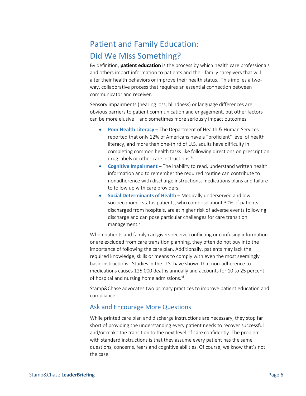## Patient and Family Education: Did We Miss Something?

By definition, **patient education** is the process by which health care professionals and others impart information to patients and their family caregivers that will alter their health behaviors or improve their health status. This implies a twoway, collaborative process that requires an essential connection between communicator and receiver.

Sensory impairments (hearing loss, blindness) or language differences are obvious barriers to patient communication and engagement, but other factors can be more elusive – and sometimes more seriously impact outcomes.

- **Poor Health Literacy** The Department of Health & Human Services reported that only 12% of Americans have a "proficient" level of health literacy, and more than one-third of U.S. adults have difficulty in completing common health tasks like following directions on prescription drug labels or other care instructions.<sup>[iv](#page-9-3)</sup>
- **Cognitive Impairment** The inability to read, understand written health information and to remember the required routine can contribute to nonadherence with discharge instructions, medications plans and failure to follow up with care providers.
- **Social Determinants of Health** Medically underserved and low socioeconomic status patients, who comprise about 30% of patients discharged from hospitals, are at higher risk of adverse events following discharge and can pose particular challenges for care transition management.<sup>[v](#page-9-4)</sup>

When patients and family caregivers receive conflicting or confusing information or are excluded from care transition planning, they often do not buy into the importance of following the care plan. Additionally, patients may lack the required knowledge, skills or means to comply with even the most seemingly basic instructions. Studies in the U.S. have shown that non-adherence to medications causes 125,000 deaths annually and accounts for 10 to 25 percent of hospital and nursing home admissions.<sup>[vi](#page-9-5)</sup>

Stamp&Chase advocates two primary practices to improve patient education and compliance.

## Ask and Encourage More Questions

While printed care plan and discharge instructions are necessary, they stop far short of providing the understanding every patient needs to recover successful and/or make the transition to the next level of care confidently. The problem with standard instructions is that they assume every patient has the same questions, concerns, fears and cognitive abilities. Of course, we know that's not the case.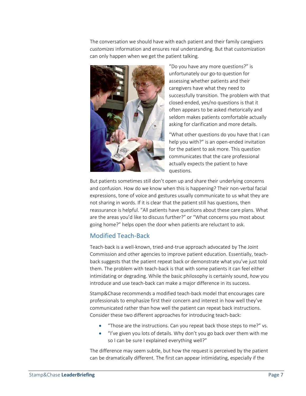The conversation we should have with each patient and their family caregivers *customizes* information and ensures real understanding. But that customization can only happen when we get the patient talking.



"Do you have any more questions?" is unfortunately our go-to question for assessing whether patients and their caregivers have what they need to successfully transition. The problem with that closed-ended, yes/no questions is that it often appears to be asked rhetorically and seldom makes patients comfortable actually asking for clarification and more details.

"What other questions do you have that I can help you with?" is an open-ended invitation for the patient to ask more. This question communicates that the care professional actually expects the patient to have questions.

But patients sometimes still don't open up and share their underlying concerns and confusion. How do we know when this is happening? Their non-verbal facial expressions, tone of voice and gestures usually communicate to us what they are not sharing in words. If it is clear that the patient still has questions, then reassurance is helpful. "All patients have questions about these care plans. What are the areas you'd like to discuss further?" or "What concerns you most about going home?" helps open the door when patients are reluctant to ask.

## Modified Teach-Back

Teach-back is a well-known, tried-and-true approach advocated by The Joint Commission and other agencies to improve patient education. Essentially, teachback suggests that the patient repeat back or demonstrate what you've just told them. The problem with teach-back is that with some patients it can feel either intimidating or degrading. While the basic philosophy is certainly sound, *how* you introduce and use teach-back can make a major difference in its success.

Stamp&Chase recommends a modified teach-back model that encourages care professionals to emphasize first their concern and interest in how well they've communicated rather than how well the patient can repeat back instructions. Consider these two different approaches for introducing teach-back:

- "Those are the instructions. Can you repeat back those steps to me?" vs.
- "I've given you lots of details. Why don't you go back over them with me so I can be sure I explained everything well?"

The difference may seem subtle, but how the request is perceived by the patient can be dramatically different. The first can appear intimidating, especially if the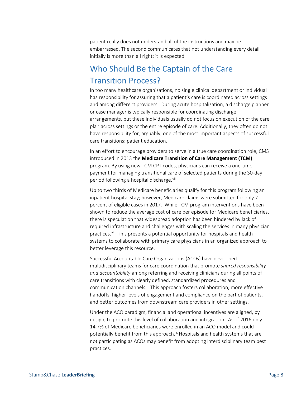patient really does not understand all of the instructions and may be embarrassed. The second communicates that not understanding every detail initially is more than all right; it is expected.

## Who Should Be the Captain of the Care Transition Process?

In too many healthcare organizations, no single clinical department or individual has responsibility for assuring that a patient's care is coordinated across settings and among different providers. During acute hospitalization, a discharge planner or case manager is typically responsible for coordinating discharge arrangements, but these individuals usually do not focus on execution of the care plan across settings or the entire episode of care. Additionally, they often do not have responsibility for, arguably, one of the most important aspects of successful care transitions: patient education.

In an effort to encourage providers to serve in a true care coordination role, CMS introduced in 2013 the **Medicare Transition of Care Management (TCM)** program. By using new TCM CPT codes, physicians can receive a one-time payment for managing transitional care of selected patients during the 30-day period following a hospital discharge.<sup>[vii](#page-9-6)</sup>

Up to two thirds of Medicare beneficiaries qualify for this program following an inpatient hospital stay; however, Medicare claims were submitted for only 7 percent of eligible cases in 2017. While TCM program interventions have been shown to reduce the average cost of care per episode for Medicare beneficiaries, there is speculation that widespread adoption has been hindered by lack of required infrastructure and challenges with scaling the services in many physician practices.<sup>viii</sup> This presents a potential opportunity for hospitals and health systems to collaborate with primary care physicians in an organized approach to better leverage this resource.

Successful Accountable Care Organizations (ACOs) have developed multidisciplinary teams for care coordination that promote *shared responsibility and accountability* among referring and receiving clinicians during all points of care transitions with clearly defined, standardized procedures and communication channels. This approach fosters collaboration, more effective handoffs, higher levels of engagement and compliance on the part of patients, and better outcomes from downstream care providers in other settings.

Under the ACO paradigm, financial and operational incentives are aligned, by design, to promote this level of collaboration and integration. As of 2016 only 14.7% of Medicare beneficiaries were enrolled in an ACO model and could potentially benefit from this approach.<sup>[ix](#page-9-8)</sup> Hospitals and health systems that are not participating as ACOs may benefit from adopting interdisciplinary team best practices.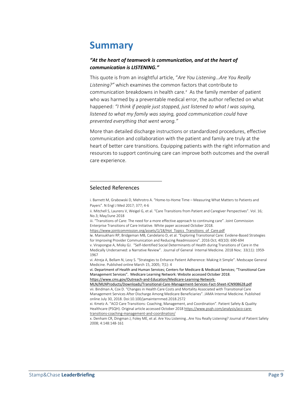# **Summary**

### *"At the heart of teamwork is communication, and at the heart of communication is LISTENING."*

This quote is from an insightful article, "*Are You Listening…Are You Really Listening?"* which examines the common factors that contribute to communication breakdowns in health care.*[x](#page-9-9)* As the family member of patient who was harmed by a preventable medical error, the author reflected on what happened: *"I think if people just stopped, just listened to what I was saying, listened to what my family was saying, good communication could have prevented everything that went wrong."*

More than detailed discharge instructions or standardized procedures, effective communication and collaboration with the patient and family are truly at the heart of better care transitions. Equipping patients with the right information and resources to support continuing care can improve both outcomes and the overall care experience.

#### <span id="page-9-0"></span>Selected References

 $\overline{\phantom{a}}$ 

i. Barnett M, Grabowski D, Mehrotro A. "Home-to-Home Time – Measuring What Matters to Patients and Payers". N Engl J Med 2017; 377; 4-6

<span id="page-9-1"></span>ii. Mitchell S, Laurens V, Weigel G, et al. "Care Transitions from Patient and Caregiver Perspectives". Vol. 16; No.3; May/June 2018

<span id="page-9-2"></span>iii. "Transitions of Care: The need for a more effective approach to continuing care". Joint Commission Enterprise Transitions of Care Initiative. White paper accessed October 2018.

<span id="page-9-3"></span>[https://www.jointcommission.org/assets/1/18/Hot\\_Topics\\_Transitions\\_of\\_Care.pdf](https://www.jointcommission.org/assets/1/18/Hot_Topics_Transitions_of_Care.pdf)

<span id="page-9-4"></span>iv. Mansukhani RP, Bridgeman MB, Candelario D, et al. "Exploring Transitional Care: Evidene-Based Strategies for Improving Provider Communication and Reducing Readmissions". 2016 Oct; 40(10): 690-694 v. Virapongse A, Misky GJ. "Self-Identified Social Determinants of Health during Transitions of Care in the Medically Underserved: a Narrative Review". Journal of General Internal Medicine. 2018 Nov; 33(11): 1959-

<span id="page-9-5"></span>1967 vi. Atreja A, Bellam N, Levy S. "Strategies to Enhance Patient Adherence: Making it Simple". Medscape General Medicine. Published online March 15, 2005; 7(1): 4

<span id="page-9-6"></span>vi. Department of Health and Human Services; Centers for Medicare & Medicaid Services; "Transitional Care Management Services". Medicare Learning Network: Website accessed October 2018.

[https://www.cms.gov/Outreach-and-Education/Medicare-Learning-Network-](https://www.cms.gov/Outreach-and-Education/Medicare-Learning-Network-MLN/MLNProducts/Downloads/Transitional-Care-Management-Services-Fact-Sheet-ICN908628.pdf)

<span id="page-9-7"></span>[MLN/MLNProducts/Downloads/Transitional-Care-Management-Services-Fact-Sheet-ICN908628.pdf](https://www.cms.gov/Outreach-and-Education/Medicare-Learning-Network-MLN/MLNProducts/Downloads/Transitional-Care-Management-Services-Fact-Sheet-ICN908628.pdf) vii. Bindman A, Cox D. "Changes in Health Care Costs and Mortality Associated with Transitional Care Management Services After Discharge Among Medicare Beneficiaries". JAMA Internal Medicine. Published online July 30, 2018. Doi:10.100/jamainternmed.2018.2572

<span id="page-9-8"></span>xi. Kmetz A. "ACO Care Transitions: Coaching, Management, and Coordination". Patient Safety & Quality Healthcare (PSQH). Original article accessed October 2018 [https://www.psqh.com/analysis/aco-care](https://www.psqh.com/analysis/aco-care-transitions-coaching-management-and-coordination/)[transitions-coaching-management-and-coordination/](https://www.psqh.com/analysis/aco-care-transitions-coaching-management-and-coordination/)

<span id="page-9-9"></span>x. Denham CR, Dingman J, Foley ME, et al. Are You Listening…Are You Really Listening? Journal of Patient Safety 2008; 4:148:148-161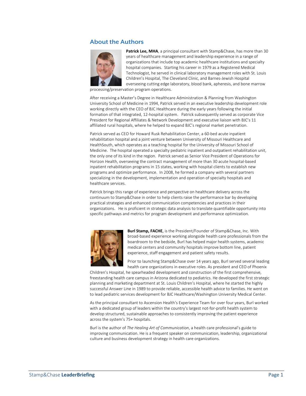## **About the Authors**



Patrick Lee, MHA, a principal consultant with Stamp&Chase, has more than 30 years of healthcare management and leadership experience in a range of organizations that include top academic healthcare institutions and specialty hospital companies. Starting his career in 1979 as a Registered Medical Technologist, he served in clinical laboratory management roles with St. Louis Children's Hospital, The Cleveland Clinic, and Barnes-Jewish Hospital overseeing cutting edge laboratory, blood bank, apheresis, and bone marrow

processing/preservation program operations.

After receiving a Master's Degree in Healthcare Administration & Planning from Washington University School of Medicine in 1994, Patrick served in an executive leadership development role working directly with the CEO of BJC Healthcare during the early years following the initial formation of that integrated, 12-hospital system. Patrick subsequently served as corporate Vice President for Regional Affiliates & Network Development and executive liaison with BJC's 11 affiliated rural hospitals, where he helped to expand BJC's regional market penetration.

Patrick served as CEO for Howard Rusk Rehabilitation Center, a 60-bed acute inpatient rehabilitation hospital and a joint venture between University of Missouri Healthcare and HealthSouth, which operates as a teaching hospital for the University of Missouri School of Medicine. The hospital operated a specialty pediatric inpatient and outpatient rehabilitation unit, the only one of its kind in the region. Patrick served as Senior Vice President of Operations for Horizon Health, overseeing the contract management of more than 30 acute hospital-based inpatient rehabilitation programs in 15 states, working with hospital clients to establish new programs and optimize performance. In 2008, he formed a company with several partners specializing in the development, implementation and operation of specialty hospitals and healthcare services.

Patrick brings this range of experience and perspective on healthcare delivery across the continuum to Stamp&Chase in order to help clients raise the performance bar by developing practical strategies and enhanced communication competencies and practices in their organizations. He is proficient in strategic data analysis to translate quantifiable opportunity into specific pathways and metrics for program development and performance optimization.



**Burl Stamp, FACHE**, is the President/Founder of Stamp&Chase, Inc. With broad-based experience working alongside health care professionals from the boardroom to the bedside, Burl has helped major health systems, academic medical centers and community hospitals improve bottom line, patient experience, staff engagement and patient safety results.

Prior to launching Stamp&Chase over 14 years ago, Burl served several leading health care organizations in executive roles. As president and CEO of Phoenix

Children's Hospital, he spearheaded development and construction of the first comprehensive, freestanding health care campus in Arizona dedicated to pediatrics. He developed the first strategic planning and marketing department at St. Louis Children's Hospital, where he started the highly successful Answer Line in 1989 to provide reliable, accessible health advice to families. He went on to lead pediatric services development for BJC Healthcare/Washington University Medical Center.

As the principal consultant to Ascension Health's Experience Team for over four years, Burl worked with a dedicated group of leaders within the country's largest not-for-profit health system to develop structured, sustainable approaches to consistently improving the patient experience across the system's 75+ hospitals.

Burl is the author of *The Healing Art of Communication*, a health care professional's guide to improving communication. He is a frequent speaker on communication, leadership, organizational culture and business development strategy in health care organizations.